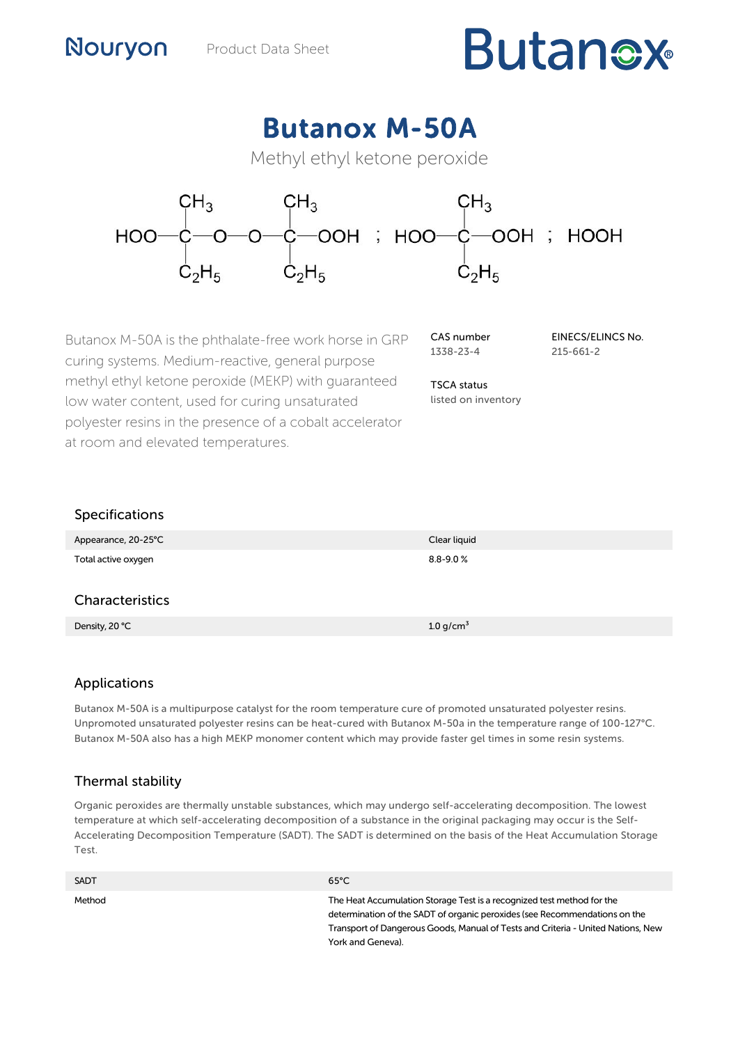# **Butanex**



Methyl ethyl ketone peroxide



Butanox M-50A is the phthalate-free work horse in GRP curing systems. Medium-reactive, general purpose methyl ethyl ketone peroxide (MEKP) with guaranteed low water content, used for curing unsaturated polyester resins in the presence of a cobalt accelerator at room and elevated temperatures.

| CAS number |  |
|------------|--|
| 1338-23-4  |  |

EINECS/ELINCS No. 215-661-2

TSCA status listed on inventory

| <b>Specifications</b> |               |
|-----------------------|---------------|
| Appearance, 20-25°C   | Clear liquid  |
| Total active oxygen   | $8.8 - 9.0 %$ |
| Characteristics       |               |
| Density, 20 °C        | 1.0 $g/cm^3$  |
|                       |               |

# Applications

Nouryon

Butanox M-50A is a multipurpose catalyst for the room temperature cure of promoted unsaturated polyester resins. Unpromoted unsaturated polyester resins can be heat-cured with Butanox M-50a in the temperature range of 100-127°C. Butanox M-50A also has a high MEKP monomer content which may provide faster gel times in some resin systems.

# Thermal stability

Organic peroxides are thermally unstable substances, which may undergo self-accelerating decomposition. The lowest temperature at which self-accelerating decomposition of a substance in the original packaging may occur is the Self-Accelerating Decomposition Temperature (SADT). The SADT is determined on the basis of the Heat Accumulation Storage Test.

| SADT   | $65^{\circ}$ C                                                                                                                                                                                                                                                |
|--------|---------------------------------------------------------------------------------------------------------------------------------------------------------------------------------------------------------------------------------------------------------------|
| Method | The Heat Accumulation Storage Test is a recognized test method for the<br>determination of the SADT of organic peroxides (see Recommendations on the<br>Transport of Dangerous Goods, Manual of Tests and Criteria - United Nations, New<br>York and Geneva). |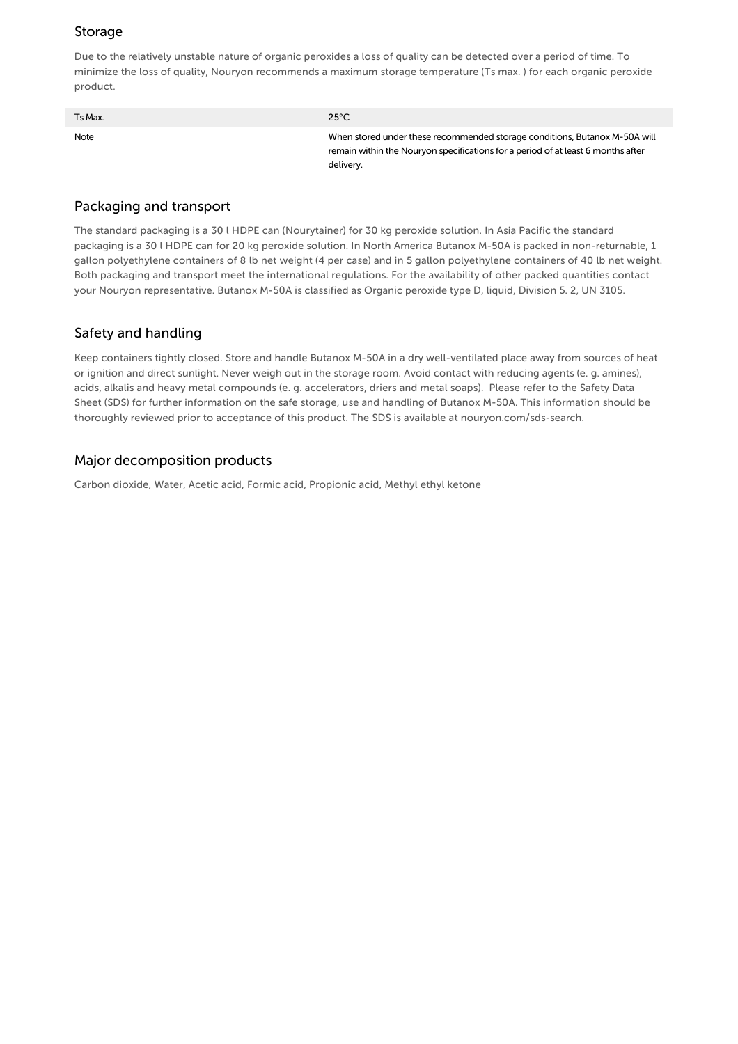## Storage

Due to the relatively unstable nature of organic peroxides a loss of quality can be detected over a period of time. To minimize the loss of quality, Nouryon recommends a maximum storage temperature (Ts max. ) for each organic peroxide product.

| Ts Max. | $25^{\circ}$ C                                                                                                                                                              |
|---------|-----------------------------------------------------------------------------------------------------------------------------------------------------------------------------|
| Note    | When stored under these recommended storage conditions, Butanox M-50A will<br>remain within the Nouryon specifications for a period of at least 6 months after<br>delivery. |

#### Packaging and transport

The standard packaging is a 30 l HDPE can (Nourytainer) for 30 kg peroxide solution. In Asia Pacific the standard packaging is a 30 l HDPE can for 20 kg peroxide solution. In North America Butanox M-50A is packed in non-returnable, 1 gallon polyethylene containers of 8 lb net weight (4 per case) and in 5 gallon polyethylene containers of 40 lb net weight. Both packaging and transport meet the international regulations. For the availability of other packed quantities contact your Nouryon representative. Butanox M-50A is classified as Organic peroxide type D, liquid, Division 5. 2, UN 3105.

## Safety and handling

Keep containers tightly closed. Store and handle Butanox M-50A in a dry well-ventilated place away from sources of heat or ignition and direct sunlight. Never weigh out in the storage room. Avoid contact with reducing agents (e. g. amines), acids, alkalis and heavy metal compounds (e. g. accelerators, driers and metal soaps). Please refer to the Safety Data Sheet (SDS) for further information on the safe storage, use and handling of Butanox M-50A. This information should be thoroughly reviewed prior to acceptance of this product. The SDS is available at nouryon.com/sds-search.

#### Major decomposition products

Carbon dioxide, Water, Acetic acid, Formic acid, Propionic acid, Methyl ethyl ketone